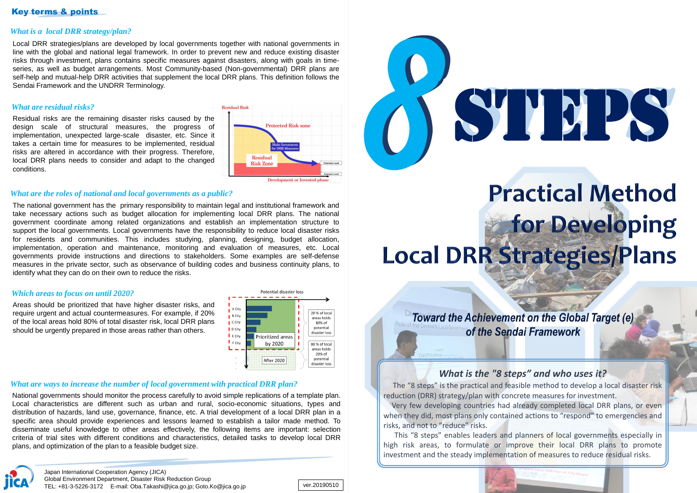## Key terms & points

### *What is a local DRR strategy/plan?*

Local DRR strategies/plans are developed by local governments together with national governments in line with the global and national legal framework. In order to prevent new and reduce existing disaster risks through investment, plans contains specific measures against disasters, along with goals in timeseries, as well as budget arrangements. Most Community-based (Non-governmental) DRR plans are self-help and mutual-help DRR activities that supplement the local DRR plans. This definition follows the Sendai Framework and the UNDRR Terminology.

Japan International Cooperation Agency (JICA) Global Environment Department, Disaster Risk Reduction Group TEL: +81-3-5226-3172 E-mail: Oba.Takashi@jica.go.jp; Goto.Ko@jica.go.jp ver.20190510

#### *What are the roles of national and local governments as a public?*

The national government has the primary responsibility to maintain legal and institutional framework and take necessary actions such as budget allocation for implementing local DRR plans. The national government coordinate among related organizations and establish an implementation structure to support the local governments. Local governments have the responsibility to reduce local disaster risks for residents and communities. This includes studying, planning, designing, budget allocation, implementation, operation and maintenance, monitoring and evaluation of measures, etc. Local governments provide instructions and directions to stakeholders. Some examples are self-defense measures in the private sector, such as observance of building codes and business continuity plans, to identify what they can do on their own to reduce the risks.

#### *Which areas to focus on until 2020?*

Areas should be prioritized that have higher disaster risks, and require urgent and actual countermeasures. For example, if 20% of the local areas hold 80% of total disaster risk, local DRR plans should be urgently prepared in those areas rather than others.



#### *What are residual risks?*

Residual risks are the remaining disaster risks caused by the design scale of structural measures, the progress of implementation, unexpected large-scale disaster, etc. Since it takes a certain time for measures to be implemented, residual risks are altered in accordance with their progress. Therefore, local DRR plans needs to consider and adapt to the changed conditions.





# **Practical Method** for Developing **Local DRR Strategies/Plans**

**Toward the Achievement on the Global Target (e)** of the Sendai Framework

#### *What are ways to increase the number of local government with practical DRR plan?*

National governments should monitor the process carefully to avoid simple replications of a template plan. Local characteristics are different such as urban and rural, socio-economic situations, types and distribution of hazards, land use, governance, finance, etc. A trial development of a local DRR plan in a specific area should provide experiences and lessons learned to establish a tailor made method. To disseminate useful knowledge to other areas effectively, the following items are important: selection criteria of trial sites with different conditions and characteristics, detailed tasks to develop local DRR plans, and optimization of the plan to a feasible budget size.



## *What is the "8 steps" and who uses it?*

The "8 steps" is the practical and feasible method to develop a local disaster risk reduction (DRR) strategy/plan with concrete measures for investment. Very few developing countries had already completed local DRR plans, or even when they did, most plans only contained actions to "respond" to emergencies and risks, and not to "reduce" risks.

This "8 steps" enables leaders and planners of local governments especially in high risk areas, to formulate or improve their local DRR plans to promote investment and the steady implementation of measures to reduce residual risks.